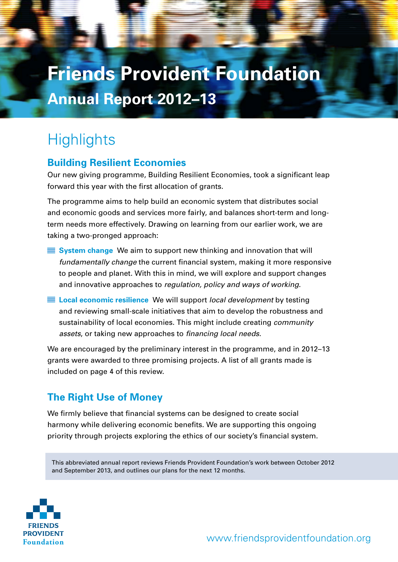# **Friends Provident Foundation Annual Report 2012–13**

## **Highlights**

### **Building Resilient Economies**

Our new giving programme, Building Resilient Economies, took a significant leap forward this year with the first allocation of grants.

The programme aims to help build an economic system that distributes social and economic goods and services more fairly, and balances short-term and longterm needs more effectively. Drawing on learning from our earlier work, we are taking a two-pronged approach:

- **System change** We aim to support new thinking and innovation that will *fundamentally change* the current financial system, making it more responsive to people and planet. With this in mind, we will explore and support changes and innovative approaches to *regulation, policy and ways of working*.
- **Local economic resilience** We will support *local development* by testing and reviewing small-scale initiatives that aim to develop the robustness and sustainability of local economies. This might include creating *community assets*, or taking new approaches to *financing local needs*.

We are encouraged by the preliminary interest in the programme, and in 2012–13 grants were awarded to three promising projects. A list of all grants made is included on page 4 of this review.

## **The Right Use of Money**

We firmly believe that financial systems can be designed to create social harmony while delivering economic benefits. We are supporting this ongoing priority through projects exploring the ethics of our society's financial system.

This abbreviated annual report reviews Friends Provident Foundation's work between October 2012 and September 2013, and outlines our plans for the next 12 months.

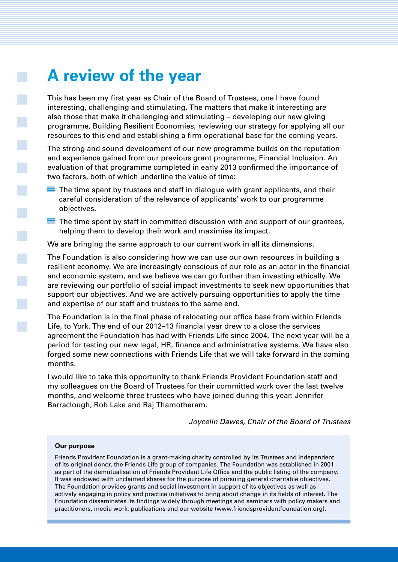## **A review of the year**

This has been my first year as Chair of the Board of Trustees, one I have found interesting, challenging and stimulating. The matters that make it interesting are also those that make it challenging and stimulating – developing our new giving programme, Building Resilient Economies, reviewing our strategy for applying all our resources to this end and establishing a firm operational base for the coming years.

The strong and sound development of our new programme builds on the reputation and experience gained from our previous grant programme, Financial Inclusion. An evaluation of that programme completed in early 2013 confirmed the importance of two factors, both of which underline the value of time:

- $\blacksquare$  The time spent by trustees and staff in dialogue with grant applicants, and their careful consideration of the relevance of applicants' work to our programme objectives.
- $\blacksquare$  The time spent by staff in committed discussion with and support of our grantees, helping them to develop their work and maximise its impact.

We are bringing the same approach to our current work in all its dimensions.

The Foundation is also considering how we can use our own resources in building a resilient economy. We are increasingly conscious of our role as an actor in the financial and economic system, and we believe we can go further than investing ethically. We are reviewing our portfolio of social impact investments to seek new opportunities that support our objectives. And we are actively pursuing opportunities to apply the time and expertise of our staff and trustees to the same end.

The Foundation is in the final phase of relocating our office base from within Friends Life, to York. The end of our 2012–13 financial year drew to a close the services agreement the Foundation has had with Friends Life since 2004. The next year will be a period for testing our new legal, HR, finance and administrative systems. We have also forged some new connections with Friends Life that we will take forward in the coming months.

I would like to take this opportunity to thank Friends Provident Foundation staff and my colleagues on the Board of Trustees for their committed work over the last twelve months, and welcome three trustees who have joined during this year: Jennifer Barraclough, Rob Lake and Raj Thamotheram.

*Joycelin Dawes, Chair of the Board of Trustees* 

#### **Our purpose**

 $\mathbb{R}^2$ 

Friends Provident Foundation is a grant-making charity controlled by its Trustees and independent of its original donor, the Friends Life group of companies. The Foundation was established in 2001 as part of the demutualisation of Friends Provident Life Office and the public listing of the company. It was endowed with unclaimed shares for the purpose of pursuing general charitable objectives. The Foundation provides grants and social investment in support of its objectives as well as actively engaging in policy and practice initiatives to bring about change in its fields of interest. The Foundation disseminates its findings widely through meetings and seminars with policy makers and practitioners, media work, publications and our website (www.friendsprovidentfoundation.org).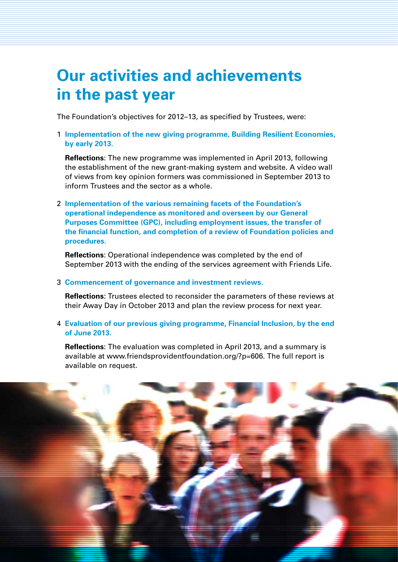## **Our activities and achievements in the past year**

The Foundation's objectives for 2012–13, as specified by Trustees, were:

1 **Implementation of the new giving programme, Building Resilient Economies, by early 2013.**

**Reflections**: The new programme was implemented in April 2013, following the establishment of the new grant-making system and website. A video wall of views from key opinion formers was commissioned in September 2013 to inform Trustees and the sector as a whole.

2 **Implementation of the various remaining facets of the Foundation's operational independence as monitored and overseen by our General Purposes Committee (GPC), including employment issues, the transfer of the financial function, and completion of a review of Foundation policies and procedures.**

**Reflections**: Operational independence was completed by the end of September 2013 with the ending of the services agreement with Friends Life.

#### 3 **Commencement of governance and investment reviews.**

**Reflections**: Trustees elected to reconsider the parameters of these reviews at their Away Day in October 2013 and plan the review process for next year.

4 **Evaluation of our previous giving programme, Financial Inclusion, by the end of June 2013.**

**Reflections**: The evaluation was completed in April 2013, and a summary is available at www.friendsprovidentfoundation.org/?p=606. The full report is available on request.

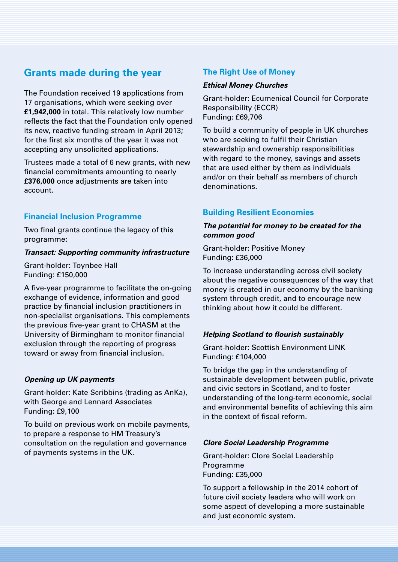### **Grants made during the year**

The Foundation received 19 applications from 17 organisations, which were seeking over **£1,942,000** in total. This relatively low number reflects the fact that the Foundation only opened its new, reactive funding stream in April 2013; for the first six months of the year it was not accepting any unsolicited applications.

Trustees made a total of 6 new grants, with new financial commitments amounting to nearly **£376,000** once adjustments are taken into account.

#### **Financial Inclusion Programme**

Two final grants continue the legacy of this programme:

#### *Transact: Supporting community infrastructure*

Grant-holder: Toynbee Hall Funding: £150,000

A five-year programme to facilitate the on-going exchange of evidence, information and good practice by financial inclusion practitioners in non-specialist organisations. This complements the previous five-year grant to CHASM at the University of Birmingham to monitor financial exclusion through the reporting of progress toward or away from financial inclusion.

#### *Opening up UK payments*

Grant-holder: Kate Scribbins (trading as AnKa), with George and Lennard Associates Funding: £9,100

To build on previous work on mobile payments, to prepare a response to HM Treasury's consultation on the regulation and governance of payments systems in the UK.

#### **The Right Use of Money**

#### *Ethical Money Churches*

Grant-holder: Ecumenical Council for Corporate Responsibility (ECCR) Funding: £69,706

To build a community of people in UK churches who are seeking to fulfil their Christian stewardship and ownership responsibilities with regard to the money, savings and assets that are used either by them as individuals and/or on their behalf as members of church denominations.

#### **Building Resilient Economies**

#### *The potential for money to be created for the common good*

Grant-holder: Positive Money Funding: £36,000

To increase understanding across civil society about the negative consequences of the way that money is created in our economy by the banking system through credit, and to encourage new thinking about how it could be different.

#### *Helping Scotland to flourish sustainably*

Grant-holder: Scottish Environment LINK Funding: £104,000

To bridge the gap in the understanding of sustainable development between public, private and civic sectors in Scotland, and to foster understanding of the long-term economic, social and environmental benefits of achieving this aim in the context of fiscal reform.

#### *Clore Social Leadership Programme*

Grant-holder: Clore Social Leadership Programme Funding: £35,000

To support a fellowship in the 2014 cohort of future civil society leaders who will work on some aspect of developing a more sustainable and just economic system.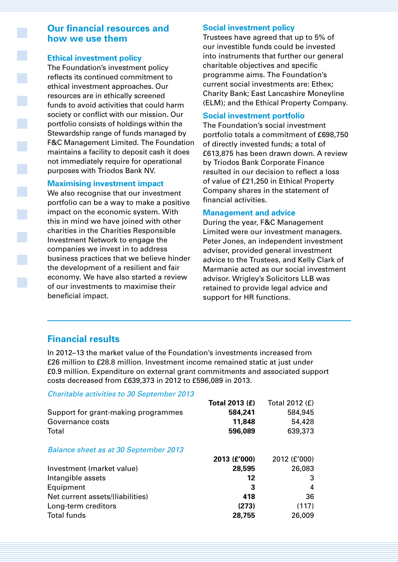### **Our financial resources and how we use them**

#### **Ethical investment policy**

The Foundation's investment policy reflects its continued commitment to ethical investment approaches. Our resources are in ethically screened funds to avoid activities that could harm society or conflict with our mission. Our portfolio consists of holdings within the Stewardship range of funds managed by F&C Management Limited. The Foundation maintains a facility to deposit cash it does not immediately require for operational purposes with Triodos Bank NV.

#### **Maximising investment impact**

We also recognise that our investment portfolio can be a way to make a positive impact on the economic system. With this in mind we have joined with other charities in the Charities Responsible Investment Network to engage the companies we invest in to address business practices that we believe hinder the development of a resilient and fair economy. We have also started a review of our investments to maximise their beneficial impact.

#### **Social investment policy**

Trustees have agreed that up to 5% of our investible funds could be invested into instruments that further our general charitable objectives and specific programme aims. The Foundation's current social investments are: Ethex; Charity Bank; East Lancashire Moneyline (ELM); and the Ethical Property Company.

#### **Social investment portfolio**

The Foundation's social investment portfolio totals a commitment of £698,750 of directly invested funds; a total of £613,875 has been drawn down. A review by Triodos Bank Corporate Finance resulted in our decision to reflect a loss of value of £21,250 in Ethical Property Company shares in the statement of financial activities.

#### **Management and advice**

During the year, F&C Management Limited were our investment managers. Peter Jones, an independent investment adviser, provided general investment advice to the Trustees, and Kelly Clark of Marmanie acted as our social investment advisor. Wrigley's Solicitors LLB was retained to provide legal advice and support for HR functions.

### **Financial results**

In 2012–13 the market value of the Foundation's investments increased from £26 million to £28.8 million. Investment income remained static at just under £0.9 million. Expenditure on external grant commitments and associated support costs decreased from £639,373 in 2012 to £596,089 in 2013.

#### *Charitable activities to 30 September 2013*

| Total 2013 (£) | Total 2012 (£) |
|----------------|----------------|
| 584,241        | 584,945        |
| 11,848         | 54,428         |
| 596,089        | 639,373        |
|                |                |
| 2013 (£'000)   | 2012 (£'000)   |
| 28,595         | 26,083         |
| 12             | 3              |
| 3              | 4              |
| 418            | 36             |
| (273)          | (117)          |
| 28,755         | 26,009         |
|                |                |